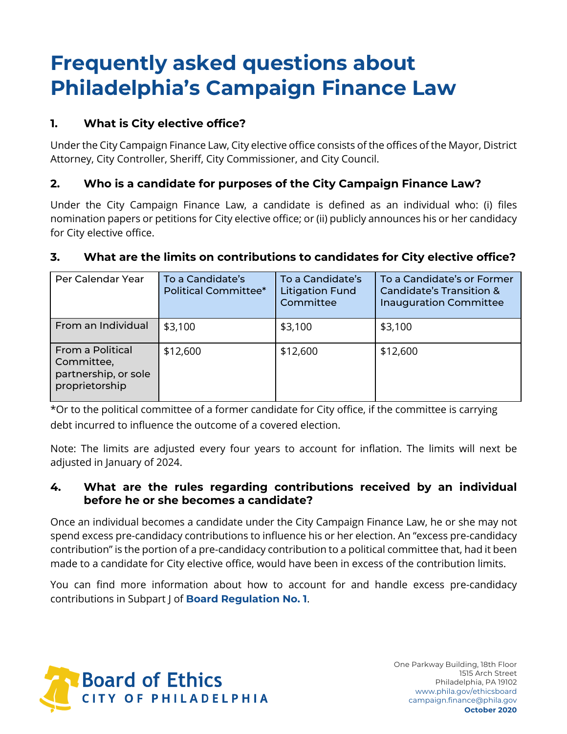# **Frequently asked questions about Philadelphia's Campaign Finance Law**

# **1. What is City elective office?**

Under the City Campaign Finance Law, City elective office consists of the offices of the Mayor, District Attorney, City Controller, Sheriff, City Commissioner, and City Council.

# **2. Who is a candidate for purposes of the City Campaign Finance Law?**

Under the City Campaign Finance Law, a candidate is defined as an individual who: (i) files nomination papers or petitions for City elective office; or (ii) publicly announces his or her candidacy for City elective office.

# **3. What are the limits on contributions to candidates for City elective office?**

| Per Calendar Year                                                        | To a Candidate's<br><b>Political Committee*</b> | To a Candidate's<br><b>Litigation Fund</b><br>Committee | To a Candidate's or Former<br>Candidate's Transition &<br><b>Inauguration Committee</b> |
|--------------------------------------------------------------------------|-------------------------------------------------|---------------------------------------------------------|-----------------------------------------------------------------------------------------|
| From an Individual                                                       | \$3,100                                         | \$3,100                                                 | \$3,100                                                                                 |
| From a Political<br>Committee,<br>partnership, or sole<br>proprietorship | \$12,600                                        | \$12,600                                                | \$12,600                                                                                |

\*Or to the political committee of a former candidate for City office, if the committee is carrying debt incurred to influence the outcome of a covered election.

Note: The limits are adjusted every four years to account for inflation. The limits will next be adjusted in January of 2024.

### **4. What are the rules regarding contributions received by an individual before he or she becomes a candidate?**

Once an individual becomes a candidate under the City Campaign Finance Law, he or she may not spend excess pre-candidacy contributions to influence his or her election. An "excess pre-candidacy contribution" is the portion of a pre-candidacy contribution to a political committee that, had it been made to a candidate for City elective office, would have been in excess of the contribution limits.

You can find more information about how to account for and handle excess pre-candidacy contributions in Subpart J of **Board Regulation No. 1**.

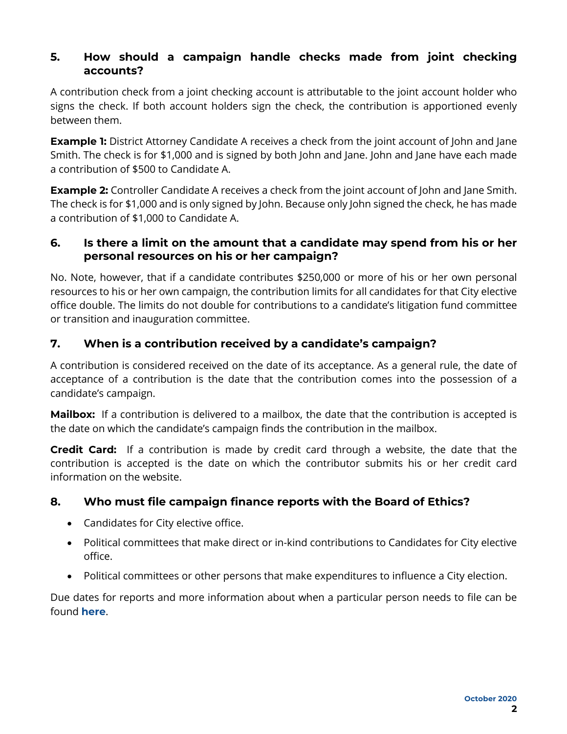### **5. How should a campaign handle checks made from joint checking accounts?**

A contribution check from a joint checking account is attributable to the joint account holder who signs the check. If both account holders sign the check, the contribution is apportioned evenly between them.

**Example 1:** District Attorney Candidate A receives a check from the joint account of John and Jane Smith. The check is for \$1,000 and is signed by both John and Jane. John and Jane have each made a contribution of \$500 to Candidate A.

**Example 2:** Controller Candidate A receives a check from the joint account of John and Jane Smith. The check is for \$1,000 and is only signed by John. Because only John signed the check, he has made a contribution of \$1,000 to Candidate A.

### **6. Is there a limit on the amount that a candidate may spend from his or her personal resources on his or her campaign?**

No. Note, however, that if a candidate contributes \$250,000 or more of his or her own personal resources to his or her own campaign, the contribution limits for all candidates for that City elective office double. The limits do not double for contributions to a candidate's litigation fund committee or transition and inauguration committee.

# **7. When is a contribution received by a candidate's campaign?**

A contribution is considered received on the date of its acceptance. As a general rule, the date of acceptance of a contribution is the date that the contribution comes into the possession of a candidate's campaign.

**Mailbox:** If a contribution is delivered to a mailbox, the date that the contribution is accepted is the date on which the candidate's campaign finds the contribution in the mailbox.

**Credit Card:** If a contribution is made by credit card through a website, the date that the contribution is accepted is the date on which the contributor submits his or her credit card information on the website.

# **8. Who must file campaign finance reports with the Board of Ethics?**

- Candidates for City elective office.
- Political committees that make direct or in-kind contributions to Candidates for City elective office.
- Political committees or other persons that make expenditures to influence a City election.

Due dates for reports and more information about when a particular person needs to file can be found **here**.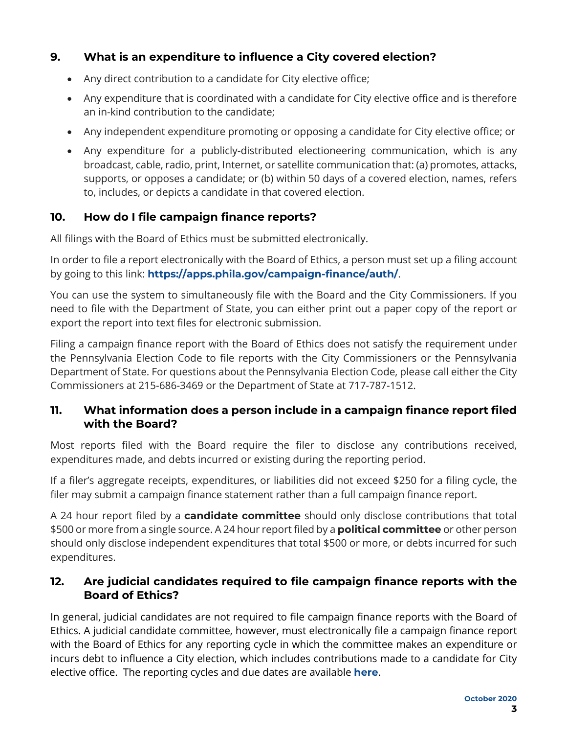# **9. What is an expenditure to influence a City covered election?**

- Any direct contribution to a candidate for City elective office;
- Any expenditure that is coordinated with a candidate for City elective office and is therefore an in-kind contribution to the candidate;
- Any independent expenditure promoting or opposing a candidate for City elective office; or
- Any expenditure for a publicly-distributed electioneering communication, which is any broadcast, cable, radio, print, Internet, or satellite communication that: (a) promotes, attacks, supports, or opposes a candidate; or (b) within 50 days of a covered election, names, refers to, includes, or depicts a candidate in that covered election.

### **10. How do I file campaign finance reports?**

All filings with the Board of Ethics must be submitted electronically.

In order to file a report electronically with the Board of Ethics, a person must set up a filing account by going to this link: **https://apps.phila.gov/campaign-finance/auth/**.

You can use the system to simultaneously file with the Board and the City Commissioners. If you need to file with the Department of State, you can either print out a paper copy of the report or export the report into text files for electronic submission.

Filing a campaign finance report with the Board of Ethics does not satisfy the requirement under the Pennsylvania Election Code to file reports with the City Commissioners or the Pennsylvania Department of State. For questions about the Pennsylvania Election Code, please call either the City Commissioners at 215-686-3469 or the Department of State at 717-787-1512.

#### **11. What information does a person include in a campaign finance report filed with the Board?**

Most reports filed with the Board require the filer to disclose any contributions received, expenditures made, and debts incurred or existing during the reporting period.

If a filer's aggregate receipts, expenditures, or liabilities did not exceed \$250 for a filing cycle, the filer may submit a campaign finance statement rather than a full campaign finance report.

A 24 hour report filed by a **candidate committee** should only disclose contributions that total \$500 or more from a single source. A 24 hour report filed by a **political committee** or other person should only disclose independent expenditures that total \$500 or more, or debts incurred for such expenditures.

#### **12. Are judicial candidates required to file campaign finance reports with the Board of Ethics?**

In general, judicial candidates are not required to file campaign finance reports with the Board of Ethics. A judicial candidate committee, however, must electronically file a campaign finance report with the Board of Ethics for any reporting cycle in which the committee makes an expenditure or incurs debt to influence a City election, which includes contributions made to a candidate for City elective office. The reporting cycles and due dates are available **here**.